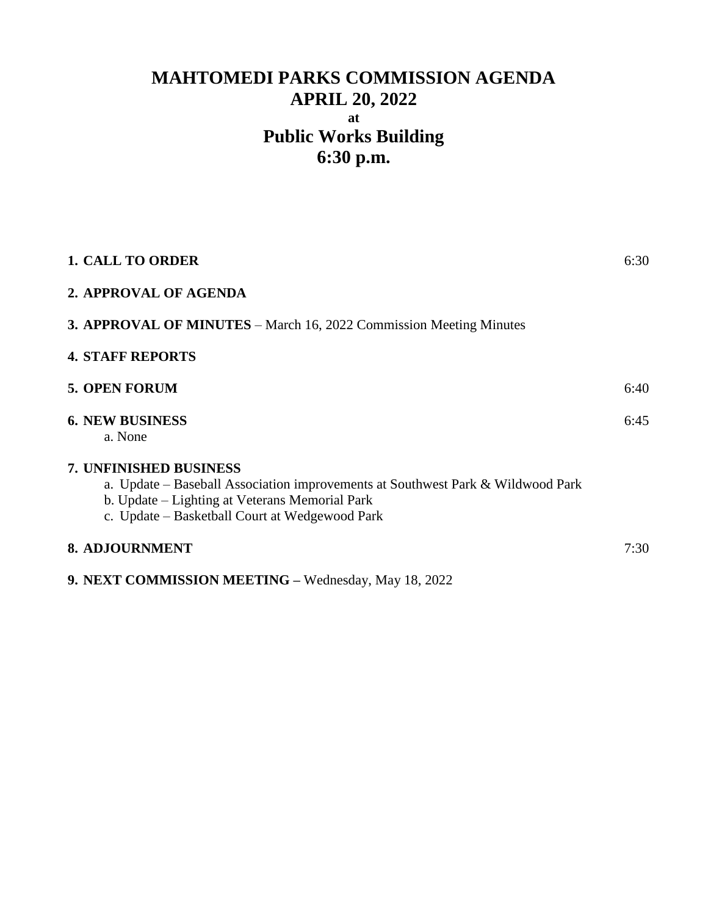# **MAHTOMEDI PARKS COMMISSION AGENDA APRIL 20, 2022 at Public Works Building 6:30 p.m.**

| <b>1. CALL TO ORDER</b>                                                                                                                                                                                       | 6:30 |
|---------------------------------------------------------------------------------------------------------------------------------------------------------------------------------------------------------------|------|
| 2. APPROVAL OF AGENDA                                                                                                                                                                                         |      |
| <b>3. APPROVAL OF MINUTES</b> – March 16, 2022 Commission Meeting Minutes                                                                                                                                     |      |
| <b>4. STAFF REPORTS</b>                                                                                                                                                                                       |      |
| <b>5. OPEN FORUM</b>                                                                                                                                                                                          | 6:40 |
| <b>6. NEW BUSINESS</b><br>a. None                                                                                                                                                                             | 6:45 |
| 7. UNFINISHED BUSINESS<br>a. Update - Baseball Association improvements at Southwest Park & Wildwood Park<br>b. Update – Lighting at Veterans Memorial Park<br>c. Update – Basketball Court at Wedgewood Park |      |
| <b>8. ADJOURNMENT</b>                                                                                                                                                                                         | 7:30 |
| 9. NEXT COMMISSION MEETING - Wednesday, May 18, 2022                                                                                                                                                          |      |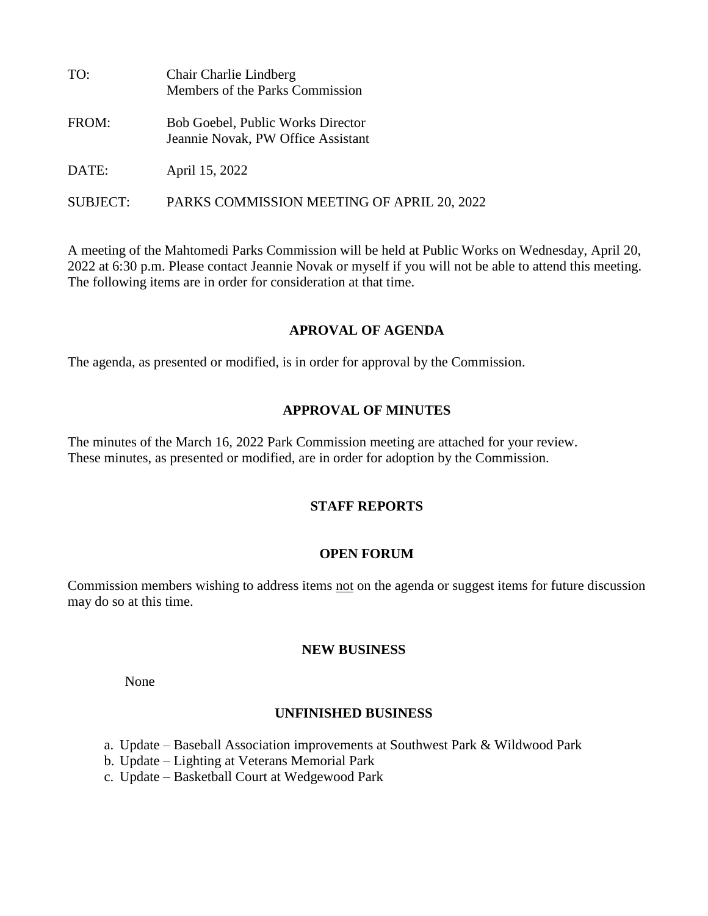| TO:      | Chair Charlie Lindberg<br>Members of the Parks Commission                      |
|----------|--------------------------------------------------------------------------------|
| FROM:    | <b>Bob Goebel, Public Works Director</b><br>Jeannie Novak, PW Office Assistant |
| DATE:    | April 15, 2022                                                                 |
| SUBJECT: | PARKS COMMISSION MEETING OF APRIL 20, 2022                                     |

A meeting of the Mahtomedi Parks Commission will be held at Public Works on Wednesday, April 20, 2022 at 6:30 p.m. Please contact Jeannie Novak or myself if you will not be able to attend this meeting. The following items are in order for consideration at that time.

#### **APROVAL OF AGENDA**

The agenda, as presented or modified, is in order for approval by the Commission.

## **APPROVAL OF MINUTES**

The minutes of the March 16, 2022 Park Commission meeting are attached for your review. These minutes, as presented or modified, are in order for adoption by the Commission.

## **STAFF REPORTS**

## **OPEN FORUM**

Commission members wishing to address items not on the agenda or suggest items for future discussion may do so at this time.

#### **NEW BUSINESS**

None

## **UNFINISHED BUSINESS**

- a. Update Baseball Association improvements at Southwest Park & Wildwood Park
- b. Update Lighting at Veterans Memorial Park
- c. Update Basketball Court at Wedgewood Park